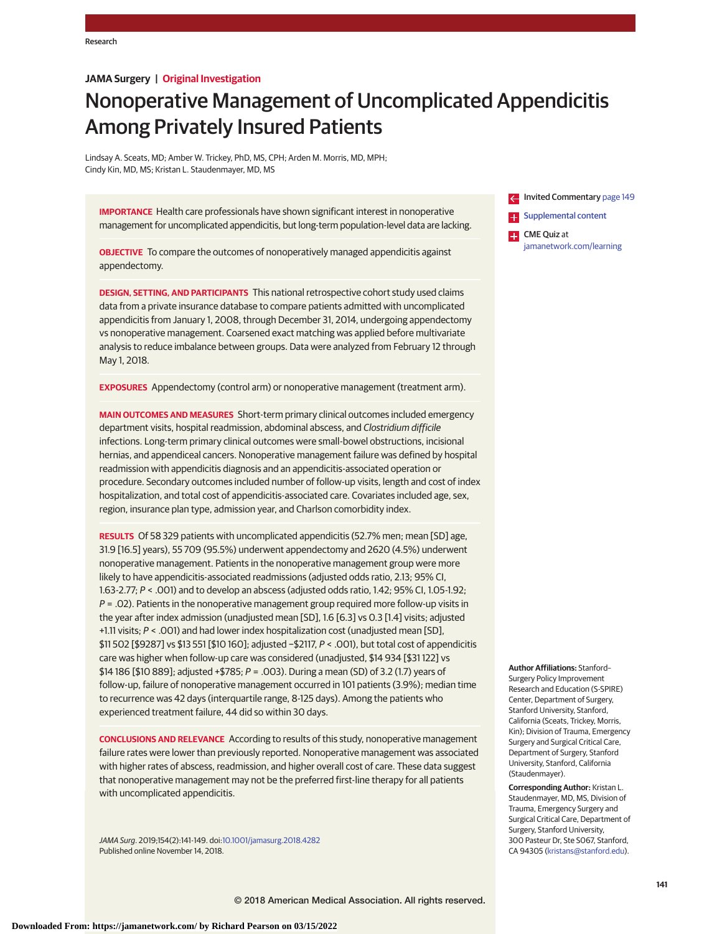# **JAMA Surgery | Original Investigation**

# Nonoperative Management of Uncomplicated Appendicitis Among Privately Insured Patients

Lindsay A. Sceats, MD; Amber W. Trickey, PhD, MS, CPH; Arden M. Morris, MD, MPH; Cindy Kin, MD, MS; Kristan L. Staudenmayer, MD, MS

**IMPORTANCE** Health care professionals have shown significant interest in nonoperative management for uncomplicated appendicitis, but long-term population-level data are lacking.

**OBJECTIVE** To compare the outcomes of nonoperatively managed appendicitis against appendectomy.

**DESIGN, SETTING, AND PARTICIPANTS** This national retrospective cohort study used claims data from a private insurance database to compare patients admitted with uncomplicated appendicitis from January 1, 2008, through December 31, 2014, undergoing appendectomy vs nonoperative management. Coarsened exact matching was applied before multivariate analysis to reduce imbalance between groups. Data were analyzed from February 12 through May 1, 2018.

**EXPOSURES** Appendectomy (control arm) or nonoperative management (treatment arm).

**MAIN OUTCOMES AND MEASURES** Short-term primary clinical outcomes included emergency department visits, hospital readmission, abdominal abscess, and Clostridium difficile infections. Long-term primary clinical outcomes were small-bowel obstructions, incisional hernias, and appendiceal cancers. Nonoperative management failure was defined by hospital readmission with appendicitis diagnosis and an appendicitis-associated operation or procedure. Secondary outcomes included number of follow-up visits, length and cost of index hospitalization, and total cost of appendicitis-associated care. Covariates included age, sex, region, insurance plan type, admission year, and Charlson comorbidity index.

**RESULTS** Of 58 329 patients with uncomplicated appendicitis (52.7% men; mean [SD] age, 31.9 [16.5] years), 55 709 (95.5%) underwent appendectomy and 2620 (4.5%) underwent nonoperative management. Patients in the nonoperative management group were more likely to have appendicitis-associated readmissions (adjusted odds ratio, 2.13; 95% CI, 1.63-2.77; P < .001) and to develop an abscess (adjusted odds ratio, 1.42; 95% CI, 1.05-1.92;  $P = .02$ ). Patients in the nonoperative management group required more follow-up visits in the year after index admission (unadjusted mean [SD], 1.6 [6.3] vs 0.3 [1.4] visits; adjusted +1.11 visits; P < .001) and had lower index hospitalization cost (unadjusted mean [SD], \$11 502 [\$9287] vs \$13 551 [\$10 160]; adjusted −\$2117, P < .001), but total cost of appendicitis care was higher when follow-up care was considered (unadjusted, \$14 934 [\$31 122] vs \$14 186 [\$10 889]; adjusted +\$785; P = .003). During a mean (SD) of 3.2 (1.7) years of follow-up, failure of nonoperative management occurred in 101 patients (3.9%); median time to recurrence was 42 days (interquartile range, 8-125 days). Among the patients who experienced treatment failure, 44 did so within 30 days.

**CONCLUSIONS AND RELEVANCE** According to results of this study, nonoperative management failure rates were lower than previously reported. Nonoperative management was associated with higher rates of abscess, readmission, and higher overall cost of care. These data suggest that nonoperative management may not be the preferred first-line therapy for all patients with uncomplicated appendicitis.

JAMA Surg. 2019;154(2):141-149. doi[:10.1001/jamasurg.2018.4282](https://jama.jamanetwork.com/article.aspx?doi=10.1001/jamasurg.2018.4282&utm_campaign=articlePDF%26utm_medium=articlePDFlink%26utm_source=articlePDF%26utm_content=jamasurg.2018.4282) Published online November 14, 2018.



**Author Affiliations:** Stanford– Surgery Policy Improvement Research and Education (S-SPIRE) Center, Department of Surgery, Stanford University, Stanford, California (Sceats, Trickey, Morris, Kin); Division of Trauma, Emergency Surgery and Surgical Critical Care, Department of Surgery, Stanford University, Stanford, California (Staudenmayer).

**Corresponding Author:** Kristan L. Staudenmayer, MD, MS, Division of Trauma, Emergency Surgery and Surgical Critical Care, Department of Surgery, Stanford University, 300 Pasteur Dr, Ste S067, Stanford, CA 94305 [\(kristans@stanford.edu\)](mailto:kristans@stanford.edu).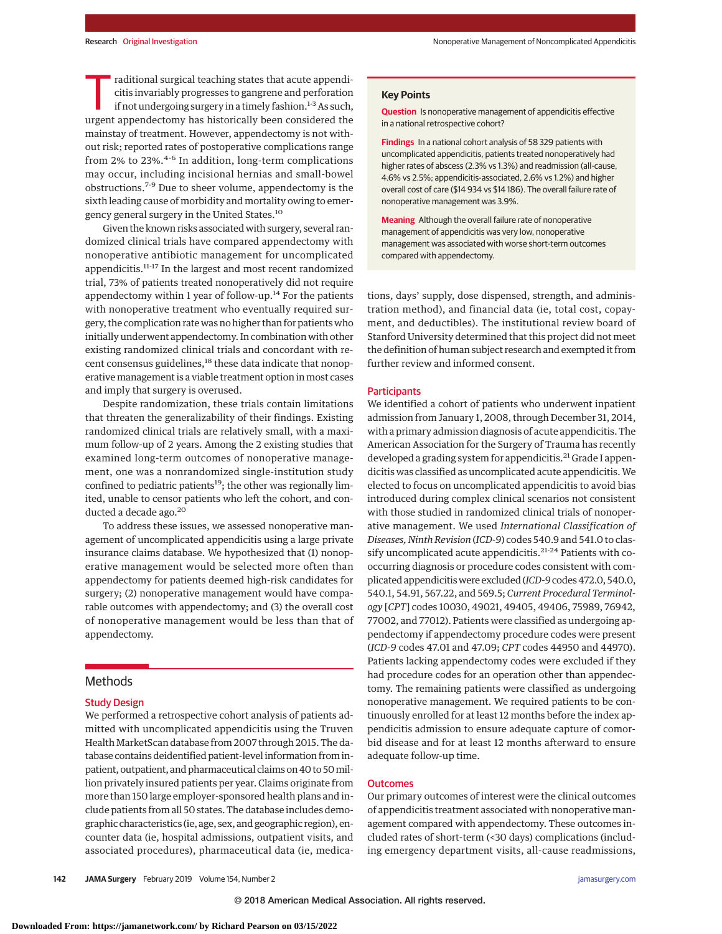Traditional surgical teaching states that acute appendi-<br>citis invariably progresses to gangrene and perforation<br>if not undergoing surgery in a timely fashion.<sup>1-3</sup> As such,<br>urgent appendentemy has historically been consid citis invariably progresses to gangrene and perforation urgent appendectomy has historically been considered the mainstay of treatment. However, appendectomy is not without risk; reported rates of postoperative complications range from 2% to 23%. $4-6$  In addition, long-term complications may occur, including incisional hernias and small-bowel obstructions.7-9 Due to sheer volume, appendectomy is the sixth leading cause of morbidity and mortality owing to emergency general surgery in the United States.10

Given the known risks associated with surgery, several randomized clinical trials have compared appendectomy with nonoperative antibiotic management for uncomplicated appendicitis.<sup>11-17</sup> In the largest and most recent randomized trial, 73% of patients treated nonoperatively did not require appendectomy within 1 year of follow-up.<sup>14</sup> For the patients with nonoperative treatment who eventually required surgery, the complication rate was no higher than for patients who initially underwent appendectomy. In combination with other existing randomized clinical trials and concordant with recent consensus guidelines,<sup>18</sup> these data indicate that nonoperative management is a viable treatment option in most cases and imply that surgery is overused.

Despite randomization, these trials contain limitations that threaten the generalizability of their findings. Existing randomized clinical trials are relatively small, with a maximum follow-up of 2 years. Among the 2 existing studies that examined long-term outcomes of nonoperative management, one was a nonrandomized single-institution study confined to pediatric patients<sup>19</sup>; the other was regionally limited, unable to censor patients who left the cohort, and conducted a decade ago.<sup>20</sup>

To address these issues, we assessed nonoperative management of uncomplicated appendicitis using a large private insurance claims database. We hypothesized that (1) nonoperative management would be selected more often than appendectomy for patients deemed high-risk candidates for surgery; (2) nonoperative management would have comparable outcomes with appendectomy; and (3) the overall cost of nonoperative management would be less than that of appendectomy.

# Methods

# Study Design

We performed a retrospective cohort analysis of patients admitted with uncomplicated appendicitis using the Truven Health MarketScan database from 2007 through 2015. The database contains deidentified patient-level information from inpatient, outpatient, and pharmaceutical claims on 40 to 50million privately insured patients per year. Claims originate from more than 150 large employer-sponsored health plans and include patients from all 50 states. The database includes demographic characteristics (ie, age, sex, and geographic region), encounter data (ie, hospital admissions, outpatient visits, and associated procedures), pharmaceutical data (ie, medica-

# **Key Points**

**Question** Is nonoperative management of appendicitis effective in a national retrospective cohort?

**Findings** In a national cohort analysis of 58 329 patients with uncomplicated appendicitis, patients treated nonoperatively had higher rates of abscess (2.3% vs 1.3%) and readmission (all-cause, 4.6% vs 2.5%; appendicitis-associated, 2.6% vs 1.2%) and higher overall cost of care (\$14 934 vs \$14 186). The overall failure rate of nonoperative management was 3.9%.

**Meaning** Although the overall failure rate of nonoperative management of appendicitis was very low, nonoperative management was associated with worse short-term outcomes compared with appendectomy.

tions, days' supply, dose dispensed, strength, and administration method), and financial data (ie, total cost, copayment, and deductibles). The institutional review board of Stanford University determined that this project did not meet the definition of human subject research and exempted it from further review and informed consent.

#### **Participants**

We identified a cohort of patients who underwent inpatient admission from January 1, 2008, through December 31, 2014, with a primary admission diagnosis of acute appendicitis. The American Association for the Surgery of Trauma has recently developed a grading system for appendicitis.<sup>21</sup> Grade I appendicitis was classified as uncomplicated acute appendicitis.We elected to focus on uncomplicated appendicitis to avoid bias introduced during complex clinical scenarios not consistent with those studied in randomized clinical trials of nonoperative management. We used *International Classification of Diseases, Ninth Revision* (*ICD-9*) codes 540.9 and 541.0 to classify uncomplicated acute appendicitis.<sup>21-24</sup> Patients with cooccurring diagnosis or procedure codes consistent with complicated appendicitis were excluded (*ICD-9*codes 472.0, 540.0, 540.1, 54.91, 567.22, and 569.5; *Current Procedural Terminology* [*CPT*] codes 10030, 49021, 49405, 49406, 75989, 76942, 77002, and 77012). Patients were classified as undergoing appendectomy if appendectomy procedure codes were present (*ICD-9* codes 47.01 and 47.09; *CPT* codes 44950 and 44970). Patients lacking appendectomy codes were excluded if they had procedure codes for an operation other than appendectomy. The remaining patients were classified as undergoing nonoperative management. We required patients to be continuously enrolled for at least 12 months before the index appendicitis admission to ensure adequate capture of comorbid disease and for at least 12 months afterward to ensure adequate follow-up time.

## **Outcomes**

Our primary outcomes of interest were the clinical outcomes of appendicitis treatment associated with nonoperative management compared with appendectomy. These outcomes included rates of short-term (<30 days) complications (including emergency department visits, all-cause readmissions,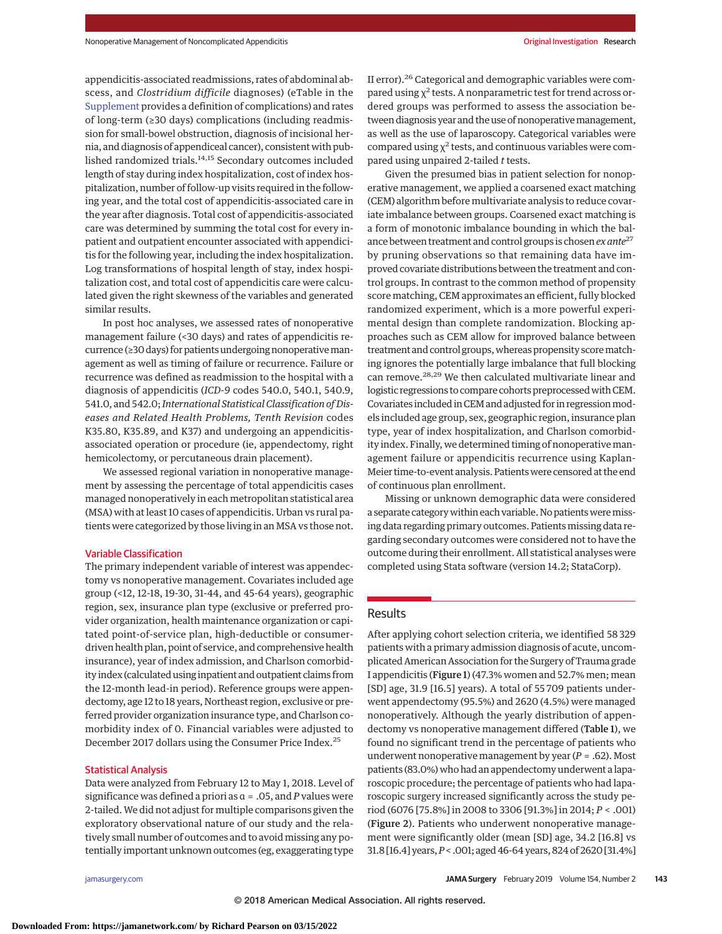appendicitis-associated readmissions, rates of abdominal abscess, and *Clostridium difficile* diagnoses) (eTable in the [Supplement](https://jama.jamanetwork.com/article.aspx?doi=10.1001/jamasurg.2018.4282&utm_campaign=articlePDF%26utm_medium=articlePDFlink%26utm_source=articlePDF%26utm_content=jamasurg.2018.4282) provides a definition of complications) and rates of long-term (≥30 days) complications (including readmission for small-bowel obstruction, diagnosis of incisional hernia, and diagnosis of appendiceal cancer), consistent with published randomized trials.<sup>14,15</sup> Secondary outcomes included length of stay during index hospitalization, cost of index hospitalization, number of follow-up visits required in the following year, and the total cost of appendicitis-associated care in the year after diagnosis. Total cost of appendicitis-associated care was determined by summing the total cost for every inpatient and outpatient encounter associated with appendicitis for the following year, including the index hospitalization. Log transformations of hospital length of stay, index hospitalization cost, and total cost of appendicitis care were calculated given the right skewness of the variables and generated similar results.

In post hoc analyses, we assessed rates of nonoperative management failure (<30 days) and rates of appendicitis recurrence (≥30 days) for patients undergoing nonoperativemanagement as well as timing of failure or recurrence. Failure or recurrence was defined as readmission to the hospital with a diagnosis of appendicitis (*ICD-9* codes 540.0, 540.1, 540.9, 541.0, and 542.0;*International Statistical Classification of Diseases and Related Health Problems, Tenth Revision* codes K35.80, K35.89, and K37) and undergoing an appendicitisassociated operation or procedure (ie, appendectomy, right hemicolectomy, or percutaneous drain placement).

We assessed regional variation in nonoperative management by assessing the percentage of total appendicitis cases managed nonoperatively in each metropolitan statistical area (MSA) with at least 10 cases of appendicitis. Urban vs rural patients were categorized by those living in an MSA vs those not.

# Variable Classification

The primary independent variable of interest was appendectomy vs nonoperative management. Covariates included age group (<12, 12-18, 19-30, 31-44, and 45-64 years), geographic region, sex, insurance plan type (exclusive or preferred provider organization, health maintenance organization or capitated point-of-service plan, high-deductible or consumerdriven health plan, point of service, and comprehensive health insurance), year of index admission, and Charlson comorbidity index (calculated using inpatient and outpatient claims from the 12-month lead-in period). Reference groups were appendectomy, age 12 to 18 years, Northeast region, exclusive or preferred provider organization insurance type, and Charlson comorbidity index of 0. Financial variables were adjusted to December 2017 dollars using the Consumer Price Index.25

## Statistical Analysis

Data were analyzed from February 12 to May 1, 2018. Level of significance was defined a priori as α = .05, and *P* values were 2-tailed.We did not adjust for multiple comparisons given the exploratory observational nature of our study and the relatively small number of outcomes and to avoid missing any potentially important unknown outcomes (eg, exaggerating type

II error).<sup>26</sup> Categorical and demographic variables were compared using  $\chi^2$  tests. A nonparametric test for trend across ordered groups was performed to assess the association between diagnosis year and the use of nonoperative management, as well as the use of laparoscopy. Categorical variables were compared using  $\chi^2$  tests, and continuous variables were compared using unpaired 2-tailed *t* tests.

Given the presumed bias in patient selection for nonoperative management, we applied a coarsened exact matching (CEM) algorithm before multivariate analysis to reduce covariate imbalance between groups. Coarsened exact matching is a form of monotonic imbalance bounding in which the balance between treatment and control groups is chosen*ex ante*<sup>27</sup> by pruning observations so that remaining data have improved covariate distributions between the treatment and control groups. In contrast to the common method of propensity score matching, CEM approximates an efficient, fully blocked randomized experiment, which is a more powerful experimental design than complete randomization. Blocking approaches such as CEM allow for improved balance between treatment and control groups,whereas propensity scorematching ignores the potentially large imbalance that full blocking can remove.<sup>28,29</sup> We then calculated multivariate linear and logistic regressions to compare cohorts preprocessed with CEM. Covariates included in CEM and adjusted for in regressionmodels included age group, sex, geographic region, insurance plan type, year of index hospitalization, and Charlson comorbidity index. Finally, we determined timing of nonoperativemanagement failure or appendicitis recurrence using Kaplan-Meier time-to-event analysis. Patientswere censored at the end of continuous plan enrollment.

Missing or unknown demographic data were considered a separate category within each variable. No patients were missing data regarding primary outcomes. Patients missing data regarding secondary outcomes were considered not to have the outcome during their enrollment. All statistical analyses were completed using Stata software (version 14.2; StataCorp).

# Results

After applying cohort selection criteria, we identified 58 329 patients with a primary admission diagnosis of acute, uncomplicated American Association for the Surgery of Trauma grade I appendicitis (Figure 1) (47.3% women and 52.7% men; mean [SD] age, 31.9 [16.5] years). A total of 55 709 patients underwent appendectomy (95.5%) and 2620 (4.5%) were managed nonoperatively. Although the yearly distribution of appendectomy vs nonoperative management differed (Table 1), we found no significant trend in the percentage of patients who underwent nonoperative management by year (*P* = .62). Most patients (83.0%) who had an appendectomy underwent a laparoscopic procedure; the percentage of patients who had laparoscopic surgery increased significantly across the study period (6076 [75.8%] in 2008 to 3306 [91.3%] in 2014; *P* < .001) (Figure 2). Patients who underwent nonoperative management were significantly older (mean [SD] age, 34.2 [16.8] vs 31.8 [16.4] years,*P*< .001; aged 46-64 years, 824 of 2620 [31.4%]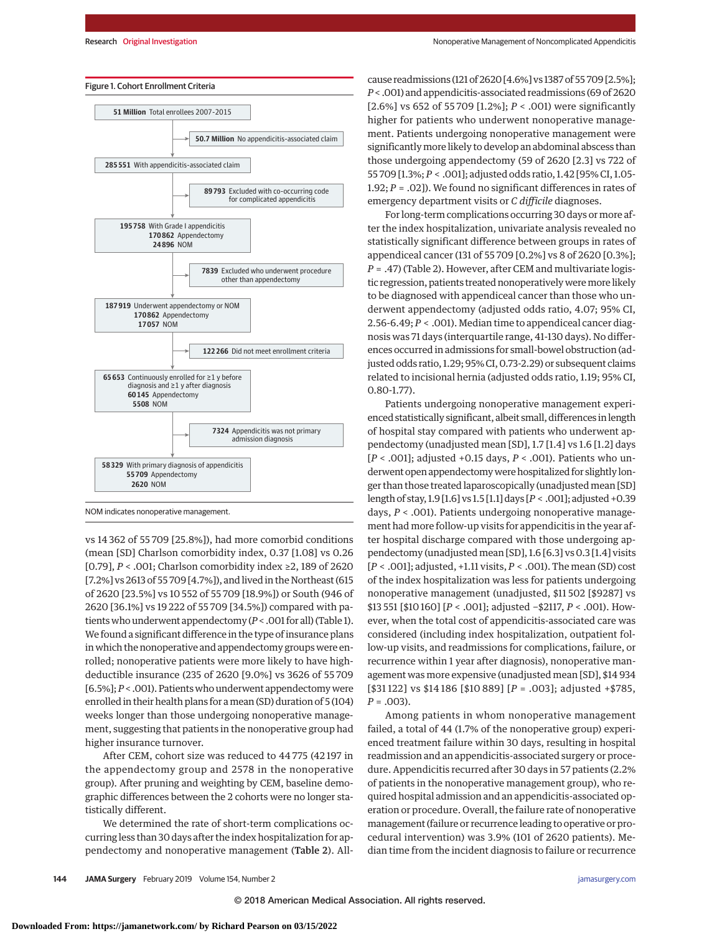

NOM indicates nonoperative management.

vs 14 362 of 55 709 [25.8%]), had more comorbid conditions (mean [SD] Charlson comorbidity index, 0.37 [1.08] vs 0.26 [0.79], *P* < .001; Charlson comorbidity index ≥2, 189 of 2620 [7.2%] vs 2613 of 55 709 [4.7%]), and lived in the Northeast (615 of 2620 [23.5%] vs 10 552 of 55 709 [18.9%]) or South (946 of 2620 [36.1%] vs 19 222 of 55 709 [34.5%]) compared with patients who underwent appendectomy (*P*< .001 for all) (Table 1). We found a significant difference in the type of insurance plans in which the nonoperative and appendectomy groups were enrolled; nonoperative patients were more likely to have highdeductible insurance (235 of 2620 [9.0%] vs 3626 of 55 709 [6.5%];*P*< .001). Patients who underwent appendectomy were enrolled in their health plans for amean (SD) duration of 5 (104) weeks longer than those undergoing nonoperative management, suggesting that patients in the nonoperative group had higher insurance turnover.

After CEM, cohort size was reduced to 44 775 (42 197 in the appendectomy group and 2578 in the nonoperative group). After pruning and weighting by CEM, baseline demographic differences between the 2 cohorts were no longer statistically different.

We determined the rate of short-term complications occurring less than 30 days after the index hospitalization for appendectomy and nonoperative management (Table 2). Allcause readmissions (121 of 2620 [4.6%] vs 1387 of 55 709 [2.5%]; *P*< .001) and appendicitis-associated readmissions (69 of 2620 [2.6%] vs 652 of 55 709 [1.2%]; *P* < .001) were significantly higher for patients who underwent nonoperative management. Patients undergoing nonoperative management were significantlymore likely to develop an abdominal abscess than those undergoing appendectomy (59 of 2620 [2.3] vs 722 of 55 709 [1.3%; *P* < .001]; adjusted odds ratio, 1.42 [95% CI, 1.05- 1.92; *P* = .02]). We found no significant differences in rates of emergency department visits or *C difficile* diagnoses.

For long-term complications occurring 30 days or more after the index hospitalization, univariate analysis revealed no statistically significant difference between groups in rates of appendiceal cancer (131 of 55 709 [0.2%] vs 8 of 2620 [0.3%]; *P* = .47) (Table 2). However, after CEM and multivariate logistic regression, patients treated nonoperatively weremore likely to be diagnosed with appendiceal cancer than those who underwent appendectomy (adjusted odds ratio, 4.07; 95% CI, 2.56-6.49; *P* < .001). Median time to appendiceal cancer diagnosis was 71 days (interquartile range, 41-130 days). No differences occurred in admissions for small-bowel obstruction (adjusted odds ratio, 1.29; 95% CI, 0.73-2.29) or subsequent claims related to incisional hernia (adjusted odds ratio, 1.19; 95% CI, 0.80-1.77).

Patients undergoing nonoperative management experienced statistically significant, albeit small, differences in length of hospital stay compared with patients who underwent appendectomy (unadjusted mean [SD], 1.7 [1.4] vs 1.6 [1.2] days [*P* < .001]; adjusted +0.15 days, *P* < .001). Patients who underwent open appendectomywere hospitalized for slightly longer than those treated laparoscopically (unadjustedmean [SD] length of stay, 1.9 [1.6] vs 1.5 [1.1] days [*P* < .001]; adjusted +0.39 days, *P* < .001). Patients undergoing nonoperative management had more follow-up visits for appendicitis in the year after hospital discharge compared with those undergoing appendectomy (unadjusted mean [SD], 1.6 [6.3] vs 0.3 [1.4] visits [*P* < .001]; adjusted, +1.11 visits, *P* < .001). The mean (SD) cost of the index hospitalization was less for patients undergoing nonoperative management (unadjusted, \$11 502 [\$9287] vs \$13 551 [\$10 160] [*P* < .001]; adjusted −\$2117, *P* < .001). However, when the total cost of appendicitis-associated care was considered (including index hospitalization, outpatient follow-up visits, and readmissions for complications, failure, or recurrence within 1 year after diagnosis), nonoperative management was more expensive (unadjusted mean [SD], \$14 934 [\$31 122] vs \$14 186 [\$10 889] [*P* = .003]; adjusted +\$785, *P* = .003).

Among patients in whom nonoperative management failed, a total of 44 (1.7% of the nonoperative group) experienced treatment failure within 30 days, resulting in hospital readmission and an appendicitis-associated surgery or procedure. Appendicitis recurred after 30 days in 57 patients (2.2% of patients in the nonoperative management group), who required hospital admission and an appendicitis-associated operation or procedure. Overall, the failure rate of nonoperative management (failure or recurrence leading to operative or procedural intervention) was 3.9% (101 of 2620 patients). Median time from the incident diagnosis to failure or recurrence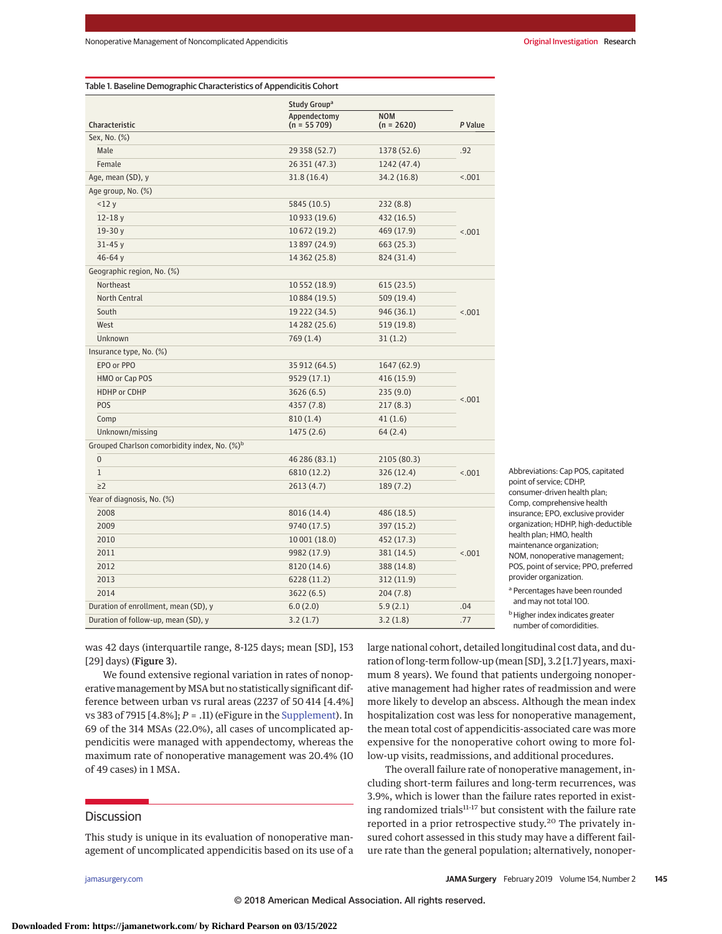|                                                          | Study Group <sup>a</sup>      |                            |         |  |  |  |
|----------------------------------------------------------|-------------------------------|----------------------------|---------|--|--|--|
| Characteristic                                           | Appendectomy<br>$(n = 55709)$ | <b>NOM</b><br>$(n = 2620)$ | P Value |  |  |  |
| Sex, No. (%)                                             |                               |                            |         |  |  |  |
| Male                                                     | 29 358 (52.7)                 | 1378 (52.6)                | .92     |  |  |  |
| Female                                                   | 26 351 (47.3)                 | 1242 (47.4)                |         |  |  |  |
| Age, mean (SD), y                                        | 31.8(16.4)                    | 34.2 (16.8)                | < 0.01  |  |  |  |
| Age group, No. (%)                                       |                               |                            |         |  |  |  |
| <12y                                                     | 5845 (10.5)                   | 232(8.8)                   |         |  |  |  |
| $12 - 18y$                                               | 10933 (19.6)                  | 432 (16.5)                 |         |  |  |  |
| $19-30y$                                                 | 10 672 (19.2)                 | 469 (17.9)                 | < .001  |  |  |  |
| $31 - 45y$                                               | 13 897 (24.9)                 | 663 (25.3)                 |         |  |  |  |
| 46-64 $y$                                                | 14 362 (25.8)                 | 824 (31.4)                 |         |  |  |  |
| Geographic region, No. (%)                               |                               |                            |         |  |  |  |
| Northeast                                                | 10 552 (18.9)                 | 615 (23.5)                 |         |  |  |  |
| <b>North Central</b>                                     | 10884 (19.5)                  | 509 (19.4)                 |         |  |  |  |
| South                                                    | 19 222 (34.5)                 | 946 (36.1)                 | < .001  |  |  |  |
| West                                                     | 14 282 (25.6)                 | 519 (19.8)                 |         |  |  |  |
| Unknown                                                  | 769 (1.4)                     | 31(1.2)                    |         |  |  |  |
| Insurance type, No. (%)                                  |                               |                            |         |  |  |  |
| EPO or PPO                                               | 35 912 (64.5)                 | 1647 (62.9)                |         |  |  |  |
| HMO or Cap POS                                           | 9529 (17.1)                   | 416 (15.9)                 |         |  |  |  |
| HDHP or CDHP                                             | 3626 (6.5)                    | 235(9.0)                   | < .001  |  |  |  |
| POS                                                      | 4357 (7.8)                    | 217(8.3)                   |         |  |  |  |
| Comp                                                     | 810(1.4)                      | 41(1.6)                    |         |  |  |  |
| Unknown/missing                                          | 1475 (2.6)                    | 64 (2.4)                   |         |  |  |  |
| Grouped Charlson comorbidity index, No. (%) <sup>b</sup> |                               |                            |         |  |  |  |
| $\mathbf 0$                                              | 46 286 (83.1)                 | 2105 (80.3)                |         |  |  |  |
| $\mathbf{1}$                                             | 6810 (12.2)                   | 326 (12.4)                 | < .001  |  |  |  |
| $\geq$ 2                                                 | 2613 (4.7)                    | 189 (7.2)                  |         |  |  |  |
| Year of diagnosis, No. (%)                               |                               |                            |         |  |  |  |
| 2008                                                     | 8016 (14.4)                   | 486 (18.5)                 |         |  |  |  |
| 2009                                                     | 9740 (17.5)                   | 397 (15.2)                 |         |  |  |  |
| 2010                                                     | 10 001 (18.0)                 | 452 (17.3)                 |         |  |  |  |
| 2011                                                     | 9982 (17.9)                   | 381 (14.5)                 | < .001  |  |  |  |
| 2012                                                     | 8120 (14.6)                   | 388 (14.8)                 |         |  |  |  |
| 2013                                                     | 6228 (11.2)                   | 312(11.9)                  |         |  |  |  |
| 2014                                                     | 3622 (6.5)                    | 204 (7.8)                  |         |  |  |  |
| Duration of enrollment, mean (SD), y                     | 6.0(2.0)                      | 5.9(2.1)                   | .04     |  |  |  |
| Duration of follow-up, mean (SD), y                      | 3.2(1.7)                      | 3.2(1.8)                   | .77     |  |  |  |

Abbreviations: Cap POS, capitated point of service; CDHP, consumer-driven health plan; Comp, comprehensive health insurance; EPO, exclusive provider organization; HDHP, high-deductible health plan; HMO, health maintenance organization; NOM, nonoperative management; POS, point of service; PPO, preferred provider organization. <sup>a</sup> Percentages have been rounded and may not total 100.

**b** Higher index indicates greater number of comordidities.

was 42 days (interquartile range, 8-125 days; mean [SD], 153 [29] days) (Figure 3).

We found extensive regional variation in rates of nonoperative management by MSA but no statistically significant difference between urban vs rural areas (2237 of 50 414 [4.4%] vs 383 of 7915 [4.8%]; *P* = .11) (eFigure in the [Supplement\)](https://jama.jamanetwork.com/article.aspx?doi=10.1001/jamasurg.2018.4282&utm_campaign=articlePDF%26utm_medium=articlePDFlink%26utm_source=articlePDF%26utm_content=jamasurg.2018.4282). In 69 of the 314 MSAs (22.0%), all cases of uncomplicated appendicitis were managed with appendectomy, whereas the maximum rate of nonoperative management was 20.4% (10 of 49 cases) in 1 MSA.

# **Discussion**

This study is unique in its evaluation of nonoperative management of uncomplicated appendicitis based on its use of a large national cohort, detailed longitudinal cost data, and duration of long-term follow-up (mean [SD], 3.2 [1.7] years, maximum 8 years). We found that patients undergoing nonoperative management had higher rates of readmission and were more likely to develop an abscess. Although the mean index hospitalization cost was less for nonoperative management, the mean total cost of appendicitis-associated care was more expensive for the nonoperative cohort owing to more follow-up visits, readmissions, and additional procedures.

The overall failure rate of nonoperative management, including short-term failures and long-term recurrences, was 3.9%, which is lower than the failure rates reported in existing randomized trials<sup>11-17</sup> but consistent with the failure rate reported in a prior retrospective study.<sup>20</sup> The privately insured cohort assessed in this study may have a different failure rate than the general population; alternatively, nonoper-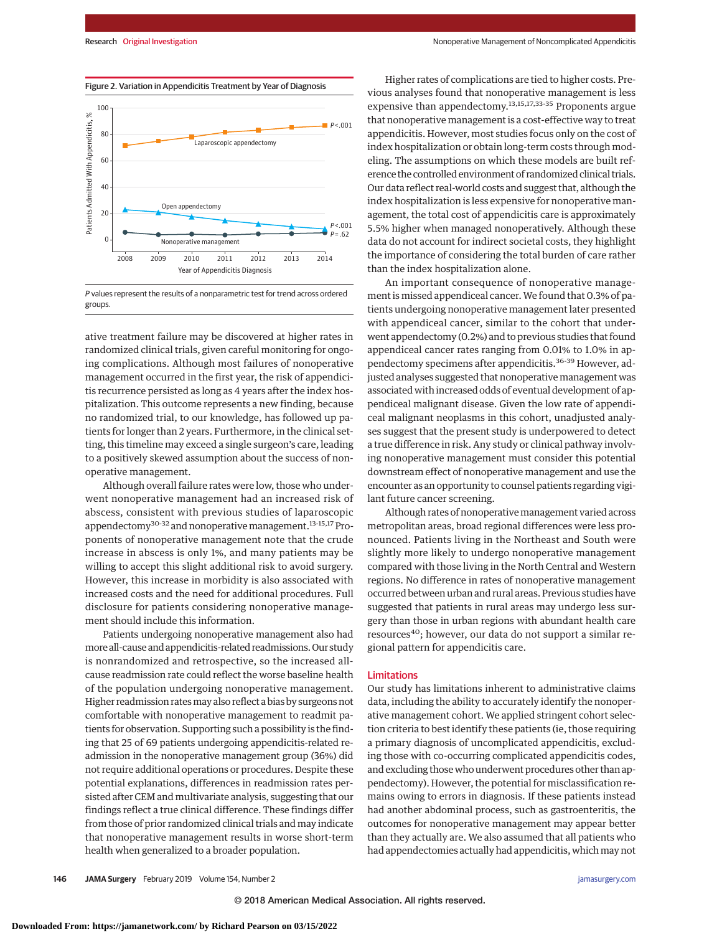

P values represent the results of a nonparametric test for trend across ordered groups.

ative treatment failure may be discovered at higher rates in randomized clinical trials, given careful monitoring for ongoing complications. Although most failures of nonoperative management occurred in the first year, the risk of appendicitis recurrence persisted as long as 4 years after the index hospitalization. This outcome represents a new finding, because no randomized trial, to our knowledge, has followed up patients for longer than 2 years. Furthermore, in the clinical setting, this timeline may exceed a single surgeon's care, leading to a positively skewed assumption about the success of nonoperative management.

Although overall failure rates were low, those who underwent nonoperative management had an increased risk of abscess, consistent with previous studies of laparoscopic appendectomy<sup>30-32</sup> and nonoperative management.<sup>13-15,17</sup> Proponents of nonoperative management note that the crude increase in abscess is only 1%, and many patients may be willing to accept this slight additional risk to avoid surgery. However, this increase in morbidity is also associated with increased costs and the need for additional procedures. Full disclosure for patients considering nonoperative management should include this information.

Patients undergoing nonoperative management also had more all-cause and appendicitis-related readmissions.Our study is nonrandomized and retrospective, so the increased allcause readmission rate could reflect the worse baseline health of the population undergoing nonoperative management. Higher readmission ratesmay also reflect a bias by surgeons not comfortable with nonoperative management to readmit patients for observation. Supporting such a possibility is the finding that 25 of 69 patients undergoing appendicitis-related readmission in the nonoperative management group (36%) did not require additional operations or procedures. Despite these potential explanations, differences in readmission rates persisted after CEM and multivariate analysis, suggesting that our findings reflect a true clinical difference. These findings differ from those of prior randomized clinical trials and may indicate that nonoperative management results in worse short-term health when generalized to a broader population.

Higher rates of complications are tied to higher costs. Previous analyses found that nonoperative management is less expensive than appendectomy.<sup>13,15,17,33-35</sup> Proponents argue that nonoperative management is a cost-effective way to treat appendicitis. However, most studies focus only on the cost of index hospitalization or obtain long-term costs through modeling. The assumptions on which these models are built reference the controlled environment of randomized clinical trials. Our data reflect real-world costs and suggest that, although the index hospitalization is less expensive for nonoperative management, the total cost of appendicitis care is approximately 5.5% higher when managed nonoperatively. Although these data do not account for indirect societal costs, they highlight the importance of considering the total burden of care rather than the index hospitalization alone.

An important consequence of nonoperative management is missed appendiceal cancer. We found that 0.3% of patients undergoing nonoperative management later presented with appendiceal cancer, similar to the cohort that underwent appendectomy (0.2%) and to previous studies that found appendiceal cancer rates ranging from 0.01% to 1.0% in appendectomy specimens after appendicitis.<sup>36-39</sup> However, adjusted analyses suggested that nonoperative management was associated with increased odds of eventual development of appendiceal malignant disease. Given the low rate of appendiceal malignant neoplasms in this cohort, unadjusted analyses suggest that the present study is underpowered to detect a true difference in risk. Any study or clinical pathway involving nonoperative management must consider this potential downstream effect of nonoperative management and use the encounter as an opportunity to counsel patients regarding vigilant future cancer screening.

Although rates of nonoperative management varied across metropolitan areas, broad regional differences were less pronounced. Patients living in the Northeast and South were slightly more likely to undergo nonoperative management compared with those living in the North Central and Western regions. No difference in rates of nonoperative management occurred between urban and rural areas. Previous studies have suggested that patients in rural areas may undergo less surgery than those in urban regions with abundant health care resources<sup>40</sup>; however, our data do not support a similar regional pattern for appendicitis care.

### Limitations

Our study has limitations inherent to administrative claims data, including the ability to accurately identify the nonoperative management cohort. We applied stringent cohort selection criteria to best identify these patients (ie, those requiring a primary diagnosis of uncomplicated appendicitis, excluding those with co-occurring complicated appendicitis codes, and excluding those who underwent procedures other than appendectomy). However, the potential for misclassification remains owing to errors in diagnosis. If these patients instead had another abdominal process, such as gastroenteritis, the outcomes for nonoperative management may appear better than they actually are. We also assumed that all patients who had appendectomies actually had appendicitis, which may not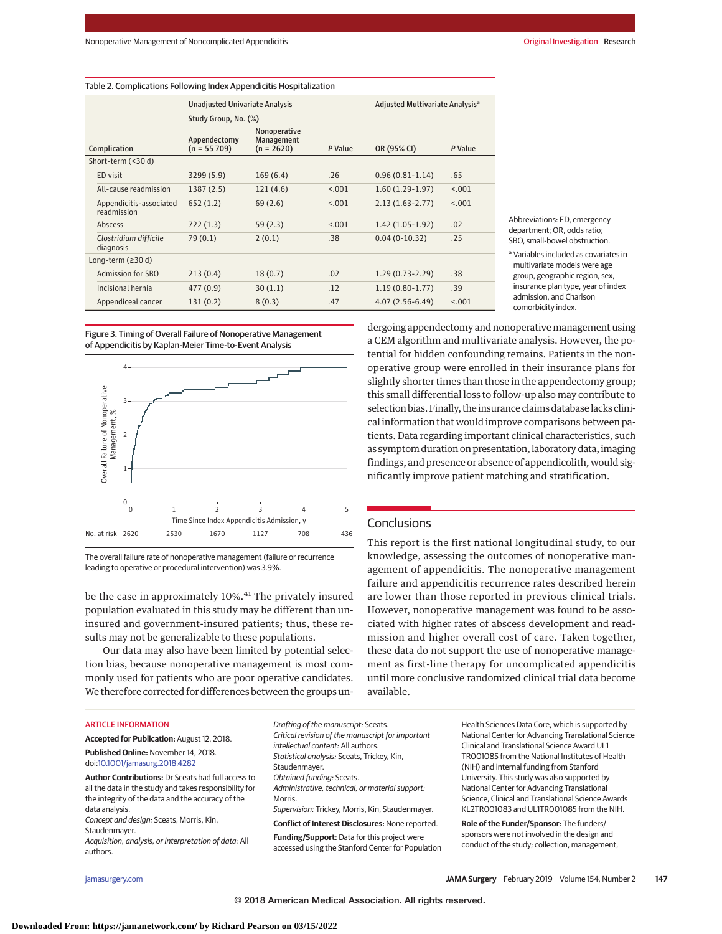| Table 2. Complications Following Index Appendicitis Hospitalization |                                        |                               |                                                   |                                             |                   |         |  |  |  |
|---------------------------------------------------------------------|----------------------------------------|-------------------------------|---------------------------------------------------|---------------------------------------------|-------------------|---------|--|--|--|
|                                                                     | <b>Unadjusted Univariate Analysis</b>  |                               |                                                   | Adjusted Multivariate Analysis <sup>a</sup> |                   |         |  |  |  |
|                                                                     | Study Group, No. (%)                   |                               |                                                   |                                             |                   |         |  |  |  |
|                                                                     | Complication                           | Appendectomy<br>$(n = 55709)$ | Nonoperative<br><b>Management</b><br>$(n = 2620)$ | P Value                                     | OR (95% CI)       | P Value |  |  |  |
| Short-term (<30 d)                                                  |                                        |                               |                                                   |                                             |                   |         |  |  |  |
|                                                                     | ED visit                               | 3299(5.9)                     | 169(6.4)                                          | .26                                         | $0.96(0.81-1.14)$ | .65     |  |  |  |
|                                                                     | All-cause readmission                  | 1387(2.5)                     | 121(4.6)                                          | < 0.01                                      | $1.60(1.29-1.97)$ | < 0.01  |  |  |  |
|                                                                     | Appendicitis-associated<br>readmission | 652(1.2)                      | 69(2.6)                                           | < 0.01                                      | $2.13(1.63-2.77)$ | < 0.01  |  |  |  |
|                                                                     | Abscess                                | 722(1.3)                      | 59(2.3)                                           | < .001                                      | $1.42(1.05-1.92)$ | .02     |  |  |  |
|                                                                     | Clostridium difficile<br>diagnosis     | 79(0.1)                       | 2(0.1)                                            | .38                                         | $0.04(0-10.32)$   | .25     |  |  |  |
| Long-term $( \geq 30 d)$                                            |                                        |                               |                                                   |                                             |                   |         |  |  |  |
|                                                                     | Admission for SBO                      | 213(0.4)                      | 18(0.7)                                           | .02                                         | $1.29(0.73-2.29)$ | .38     |  |  |  |
|                                                                     | Incisional hernia                      | 477(0.9)                      | 30(1.1)                                           | .12                                         | $1.19(0.80-1.77)$ | .39     |  |  |  |
|                                                                     | Appendiceal cancer                     | 131(0.2)                      | 8(0.3)                                            | .47                                         | $4.07(2.56-6.49)$ | < 0.001 |  |  |  |

Abbreviations: ED, emergency department; OR, odds ratio; SBO, small-bowel obstruction.

<sup>a</sup> Variables included as covariates in multivariate models were age group, geographic region, sex, insurance plan type, year of index admission, and Charlson comorbidity index.

Figure 3. Timing of Overall Failure of Nonoperative Management of Appendicitis by Kaplan-Meier Time-to-Event Analysis



The overall failure rate of nonoperative management (failure or recurrence leading to operative or procedural intervention) was 3.9%.

be the case in approximately 10%.<sup>41</sup> The privately insured population evaluated in this study may be different than uninsured and government-insured patients; thus, these results may not be generalizable to these populations.

Our data may also have been limited by potential selection bias, because nonoperative management is most commonly used for patients who are poor operative candidates. We therefore corrected for differences between the groups un-

# ARTICLE INFORMATION

**Accepted for Publication:** August 12, 2018.

**Published Online:** November 14, 2018. doi[:10.1001/jamasurg.2018.4282](https://jama.jamanetwork.com/article.aspx?doi=10.1001/jamasurg.2018.4282&utm_campaign=articlePDF%26utm_medium=articlePDFlink%26utm_source=articlePDF%26utm_content=jamasurg.2018.4282)

**Author Contributions:** Dr Sceats had full access to all the data in the study and takes responsibility for the integrity of the data and the accuracy of the data analysis.

Concept and design: Sceats, Morris, Kin, Staudenmayer.

Acquisition, analysis, or interpretation of data: All authors.

Drafting of the manuscript: Sceats. Critical revision of the manuscript for important intellectual content: All authors. Statistical analysis: Sceats, Trickey, Kin, Staudenmayer. Obtained funding: Sceats. Administrative, technical, or material support: Morris. Supervision: Trickey, Morris, Kin, Staudenmayer. **Conflict of Interest Disclosures:** None reported. **Funding/Support:** Data for this project were accessed using the Stanford Center for Population

Health Sciences Data Core, which is supported by National Center for Advancing Translational Science Clinical and Translational Science Award UL1 TR001085 from the National Institutes of Health (NIH) and internal funding from Stanford University. This study was also supported by National Center for Advancing Translational Science, Clinical and Translational Science Awards KL2TR001083 and UL1TR001085 from the NIH.

**Role of the Funder/Sponsor:** The funders/ sponsors were not involved in the design and conduct of the study; collection, management,

selection bias. Finally, the insurance claims database lacks clinical information that would improve comparisons between patients. Data regarding important clinical characteristics, such as symptom duration on presentation, laboratory data, imaging findings, and presence or absence of appendicolith, would significantly improve patient matching and stratification.

# **Conclusions**

This report is the first national longitudinal study, to our knowledge, assessing the outcomes of nonoperative management of appendicitis. The nonoperative management failure and appendicitis recurrence rates described herein are lower than those reported in previous clinical trials. However, nonoperative management was found to be associated with higher rates of abscess development and readmission and higher overall cost of care. Taken together, these data do not support the use of nonoperative management as first-line therapy for uncomplicated appendicitis until more conclusive randomized clinical trial data become available.

dergoing appendectomy and nonoperative management using a CEM algorithm and multivariate analysis. However, the potential for hidden confounding remains. Patients in the nonoperative group were enrolled in their insurance plans for slightly shorter times than those in the appendectomy group; this small differential loss to follow-up also may contribute to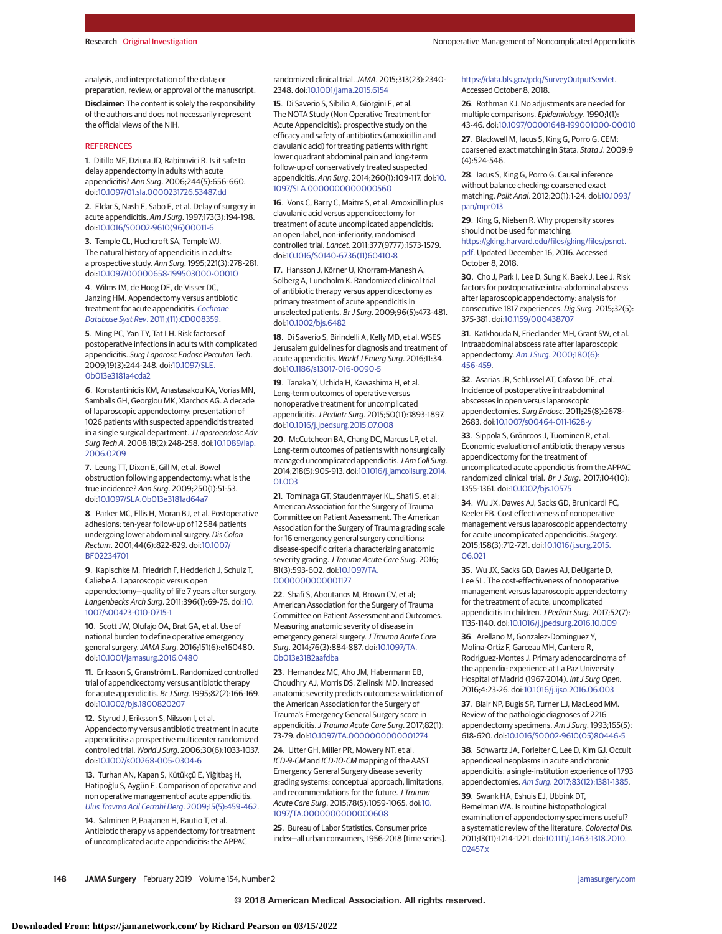analysis, and interpretation of the data; or preparation, review, or approval of the manuscript.

**Disclaimer:** The content is solely the responsibility of the authors and does not necessarily represent the official views of the NIH.

#### **REFERENCES**

**1**. Ditillo MF, Dziura JD, Rabinovici R. Is it safe to delay appendectomy in adults with acute appendicitis? Ann Surg. 2006;244(5):656-660. doi[:10.1097/01.sla.0000231726.53487.dd](https://dx.doi.org/10.1097/01.sla.0000231726.53487.dd)

**2**. Eldar S, Nash E, Sabo E, et al. Delay of surgery in acute appendicitis. Am J Surg. 1997;173(3):194-198. doi[:10.1016/S0002-9610\(96\)00011-6](https://dx.doi.org/10.1016/S0002-9610(96)00011-6)

**3**. Temple CL, Huchcroft SA, Temple WJ. The natural history of appendicitis in adults: a prospective study. Ann Surg. 1995;221(3):278-281. doi[:10.1097/00000658-199503000-00010](https://dx.doi.org/10.1097/00000658-199503000-00010)

**4**. Wilms IM, de Hoog DE, de Visser DC, Janzing HM. Appendectomy versus antibiotic treatment for acute appendicitis. [Cochrane](https://www.ncbi.nlm.nih.gov/pubmed/22071846) Database Syst Rev[. 2011;\(11\):CD008359.](https://www.ncbi.nlm.nih.gov/pubmed/22071846)

**5**. Ming PC, Yan TY, Tat LH. Risk factors of postoperative infections in adults with complicated appendicitis. Surg Laparosc Endosc Percutan Tech. 2009;19(3):244-248. doi[:10.1097/SLE.](https://dx.doi.org/10.1097/SLE.0b013e3181a4cda2) [0b013e3181a4cda2](https://dx.doi.org/10.1097/SLE.0b013e3181a4cda2)

**6**. Konstantinidis KM, Anastasakou KA, Vorias MN, Sambalis GH, Georgiou MK, Xiarchos AG. A decade of laparoscopic appendectomy: presentation of 1026 patients with suspected appendicitis treated in a single surgical department. J Laparoendosc Adv Surg Tech A. 2008;18(2):248-258. doi[:10.1089/lap.](https://dx.doi.org/10.1089/lap.2006.0209) [2006.0209](https://dx.doi.org/10.1089/lap.2006.0209)

**7**. Leung TT, Dixon E, Gill M, et al. Bowel obstruction following appendectomy: what is the true incidence? Ann Surg. 2009;250(1):51-53. doi[:10.1097/SLA.0b013e3181ad64a7](https://dx.doi.org/10.1097/SLA.0b013e3181ad64a7)

**8**. Parker MC, Ellis H, Moran BJ, et al. Postoperative adhesions: ten-year follow-up of 12 584 patients undergoing lower abdominal surgery. Dis Colon Rectum. 2001;44(6):822-829. doi[:10.1007/](https://dx.doi.org/10.1007/BF02234701) [BF02234701](https://dx.doi.org/10.1007/BF02234701)

**9**. Kapischke M, Friedrich F, Hedderich J, Schulz T, Caliebe A. Laparoscopic versus open appendectomy—quality of life 7 years after surgery. Langenbecks Arch Surg. 2011;396(1):69-75. doi[:10.](https://dx.doi.org/10.1007/s00423-010-0715-1) [1007/s00423-010-0715-1](https://dx.doi.org/10.1007/s00423-010-0715-1)

**10**. Scott JW, Olufajo OA, Brat GA, et al. Use of national burden to define operative emergency general surgery.JAMA Surg. 2016;151(6):e160480. doi[:10.1001/jamasurg.2016.0480](https://jama.jamanetwork.com/article.aspx?doi=10.1001/jamasurg.2016.0480&utm_campaign=articlePDF%26utm_medium=articlePDFlink%26utm_source=articlePDF%26utm_content=jamasurg.2018.4282)

**11**. Eriksson S, Granström L. Randomized controlled trial of appendicectomy versus antibiotic therapy for acute appendicitis. Br J Surg. 1995;82(2):166-169. doi[:10.1002/bjs.1800820207](https://dx.doi.org/10.1002/bjs.1800820207)

**12**. Styrud J, Eriksson S, Nilsson I, et al. Appendectomy versus antibiotic treatment in acute appendicitis: a prospective multicenter randomized controlled trial. World J Surg. 2006;30(6):1033-1037. doi[:10.1007/s00268-005-0304-6](https://dx.doi.org/10.1007/s00268-005-0304-6)

**13**. Turhan AN, Kapan S, Kütükçü E, Yiğitbaş H, Hatipoğlu S, Aygün E. Comparison of operative and non operative management of acute appendicitis. [Ulus Travma Acil Cerrahi Derg](https://www.ncbi.nlm.nih.gov/pubmed/19779986). 2009;15(5):459-462.

**14**. Salminen P, Paajanen H, Rautio T, et al. Antibiotic therapy vs appendectomy for treatment of uncomplicated acute appendicitis: the APPAC

randomized clinical trial.JAMA. 2015;313(23):2340- 2348. doi[:10.1001/jama.2015.6154](https://jama.jamanetwork.com/article.aspx?doi=10.1001/jama.2015.6154&utm_campaign=articlePDF%26utm_medium=articlePDFlink%26utm_source=articlePDF%26utm_content=jamasurg.2018.4282)

**15**. Di Saverio S, Sibilio A, Giorgini E, et al. The NOTA Study (Non Operative Treatment for Acute Appendicitis): prospective study on the efficacy and safety of antibiotics (amoxicillin and clavulanic acid) for treating patients with right lower quadrant abdominal pain and long-term follow-up of conservatively treated suspected appendicitis. Ann Surg. 2014;260(1):109-117. doi[:10.](https://dx.doi.org/10.1097/SLA.0000000000000560) [1097/SLA.0000000000000560](https://dx.doi.org/10.1097/SLA.0000000000000560)

**16**. Vons C, Barry C, Maitre S, et al. Amoxicillin plus clavulanic acid versus appendicectomy for treatment of acute uncomplicated appendicitis: an open-label, non-inferiority, randomised controlled trial. Lancet. 2011;377(9777):1573-1579. doi[:10.1016/S0140-6736\(11\)60410-8](https://dx.doi.org/10.1016/S0140-6736(11)60410-8)

**17**. Hansson J, Körner U, Khorram-Manesh A, Solberg A, Lundholm K. Randomized clinical trial of antibiotic therapy versus appendicectomy as primary treatment of acute appendicitis in unselected patients. Br J Surg. 2009;96(5):473-481. doi[:10.1002/bjs.6482](https://dx.doi.org/10.1002/bjs.6482)

**18**. Di Saverio S, Birindelli A, Kelly MD, et al. WSES Jerusalem guidelines for diagnosis and treatment of acute appendicitis. World J Emerg Surg. 2016;11:34. doi[:10.1186/s13017-016-0090-5](https://dx.doi.org/10.1186/s13017-016-0090-5)

**19**. Tanaka Y, Uchida H, Kawashima H, et al. Long-term outcomes of operative versus nonoperative treatment for uncomplicated appendicitis.J Pediatr Surg. 2015;50(11):1893-1897. doi[:10.1016/j.jpedsurg.2015.07.008](https://dx.doi.org/10.1016/j.jpedsurg.2015.07.008)

**20**. McCutcheon BA, Chang DC, Marcus LP, et al. Long-term outcomes of patients with nonsurgically managed uncomplicated appendicitis. J Am Coll Surg. 2014;218(5):905-913. doi[:10.1016/j.jamcollsurg.2014.](https://dx.doi.org/10.1016/j.jamcollsurg.2014.01.003) [01.003](https://dx.doi.org/10.1016/j.jamcollsurg.2014.01.003)

**21**. Tominaga GT, Staudenmayer KL, Shafi S, et al; American Association for the Surgery of Trauma Committee on Patient Assessment. The American Association for the Surgery of Trauma grading scale for 16 emergency general surgery conditions: disease-specific criteria characterizing anatomic severity grading. J Trauma Acute Care Surg. 2016; 81(3):593-602. doi[:10.1097/TA.](https://dx.doi.org/10.1097/TA.0000000000001127) [0000000000001127](https://dx.doi.org/10.1097/TA.0000000000001127)

**22**. Shafi S, Aboutanos M, Brown CV, et al; American Association for the Surgery of Trauma Committee on Patient Assessment and Outcomes. Measuring anatomic severity of disease in emergency general surgery. J Trauma Acute Care Surg. 2014;76(3):884-887. doi[:10.1097/TA.](https://dx.doi.org/10.1097/TA.0b013e3182aafdba) [0b013e3182aafdba](https://dx.doi.org/10.1097/TA.0b013e3182aafdba)

**23**. Hernandez MC, Aho JM, Habermann EB, Choudhry AJ, Morris DS, Zielinski MD. Increased anatomic severity predicts outcomes: validation of the American Association for the Surgery of Trauma's Emergency General Surgery score in appendicitis. J Trauma Acute Care Surg. 2017;82(1): 73-79. doi[:10.1097/TA.0000000000001274](https://dx.doi.org/10.1097/TA.0000000000001274)

**24**. Utter GH, Miller PR, Mowery NT, et al. ICD-9-CM and ICD-10-CM mapping of the AAST Emergency General Surgery disease severity grading systems: conceptual approach, limitations, and recommendations for the future. J Trauma Acute Care Surg. 2015;78(5):1059-1065. doi[:10.](https://dx.doi.org/10.1097/TA.0000000000000608) [1097/TA.0000000000000608](https://dx.doi.org/10.1097/TA.0000000000000608)

**25**. Bureau of Labor Statistics. Consumer price index—all urban consumers, 1956-2018 [time series]. [https://data.bls.gov/pdq/SurveyOutputServlet.](https://data.bls.gov/pdq/SurveyOutputServlet) Accessed October 8, 2018.

**26**. Rothman KJ. No adjustments are needed for multiple comparisons. Epidemiology. 1990;1(1): 43-46. doi[:10.1097/00001648-199001000-00010](https://dx.doi.org/10.1097/00001648-199001000-00010)

**27**. Blackwell M, Iacus S, King G, Porro G. CEM: coarsened exact matching in Stata. Stata J. 2009;9 (4):524-546.

**28**. Iacus S, King G, Porro G. Causal inference without balance checking: coarsened exact matching. Polit Anal. 2012;20(1):1-24. doi[:10.1093/](https://dx.doi.org/10.1093/pan/mpr013) [pan/mpr013](https://dx.doi.org/10.1093/pan/mpr013)

**29**. King G, Nielsen R. Why propensity scores should not be used for matching. [https://gking.harvard.edu/files/gking/files/psnot.](https://gking.harvard.edu/files/gking/files/psnot.pdf) [pdf.](https://gking.harvard.edu/files/gking/files/psnot.pdf) Updated December 16, 2016. Accessed October 8, 2018.

**30**. Cho J, Park I, Lee D, Sung K, Baek J, Lee J. Risk factors for postoperative intra-abdominal abscess after laparoscopic appendectomy: analysis for consecutive 1817 experiences. Dig Surg. 2015;32(5): 375-381. doi[:10.1159/000438707](https://dx.doi.org/10.1159/000438707)

**31**. Katkhouda N, Friedlander MH, Grant SW, et al. Intraabdominal abscess rate after laparoscopic appendectomy. Am J Surg[. 2000;180\(6\):](https://www.ncbi.nlm.nih.gov/pubmed/11182397) [456-459.](https://www.ncbi.nlm.nih.gov/pubmed/11182397)

**32**. Asarias JR, Schlussel AT, Cafasso DE, et al. Incidence of postoperative intraabdominal abscesses in open versus laparoscopic appendectomies. Surg Endosc. 2011;25(8):2678- 2683. doi[:10.1007/s00464-011-1628-y](https://dx.doi.org/10.1007/s00464-011-1628-y)

**33**. Sippola S, Grönroos J, Tuominen R, et al. Economic evaluation of antibiotic therapy versus appendicectomy for the treatment of uncomplicated acute appendicitis from the APPAC randomized clinical trial. Br J Surg. 2017;104(10): 1355-1361. doi[:10.1002/bjs.10575](https://dx.doi.org/10.1002/bjs.10575)

**34**. Wu JX, Dawes AJ, Sacks GD, Brunicardi FC, Keeler EB. Cost effectiveness of nonoperative management versus laparoscopic appendectomy for acute uncomplicated appendicitis. Surgery. 2015;158(3):712-721. doi[:10.1016/j.surg.2015.](https://dx.doi.org/10.1016/j.surg.2015.06.021) [06.021](https://dx.doi.org/10.1016/j.surg.2015.06.021)

**35**. Wu JX, Sacks GD, Dawes AJ, DeUgarte D, Lee SL. The cost-effectiveness of nonoperative management versus laparoscopic appendectomy for the treatment of acute, uncomplicated appendicitis in children. J Pediatr Surg. 2017;52(7): 1135-1140. doi[:10.1016/j.jpedsurg.2016.10.009](https://dx.doi.org/10.1016/j.jpedsurg.2016.10.009)

**36**. Arellano M, Gonzalez-Dominguez Y, Molina-Ortiz F, Garceau MH, Cantero R, Rodriguez-Montes J. Primary adenocarcinoma of the appendix: experience at La Paz University Hospital of Madrid (1967-2014). Int J Surg Open. 2016;4:23-26. doi[:10.1016/j.ijso.2016.06.003](https://dx.doi.org/10.1016/j.ijso.2016.06.003)

**37**. Blair NP, Bugis SP, Turner LJ, MacLeod MM. Review of the pathologic diagnoses of 2216 appendectomy specimens. Am J Surg. 1993;165(5): 618-620. doi[:10.1016/S0002-9610\(05\)80446-5](https://dx.doi.org/10.1016/S0002-9610(05)80446-5)

**38**. Schwartz JA, Forleiter C, Lee D, Kim GJ. Occult appendiceal neoplasms in acute and chronic appendicitis: a single-institution experience of 1793 appendectomies. Am Surg[. 2017;83\(12\):1381-1385.](https://www.ncbi.nlm.nih.gov/pubmed/29336758)

**39**. Swank HA, Eshuis EJ, Ubbink DT, Bemelman WA. Is routine histopathological examination of appendectomy specimens useful? a systematic review of the literature. Colorectal Dis. 2011;13(11):1214-1221. doi[:10.1111/j.1463-1318.2010.](https://dx.doi.org/10.1111/j.1463-1318.2010.02457.x) [02457.x](https://dx.doi.org/10.1111/j.1463-1318.2010.02457.x)